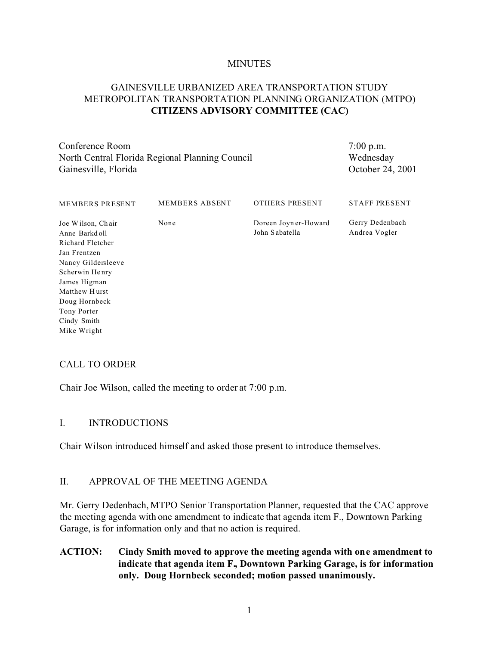#### **MINUTES**

# GAINESVILLE URBANIZED AREA TRANSPORTATION STUDY METROPOLITAN TRANSPORTATION PLANNING ORGANIZATION (MTPO) **CITIZENS ADVISORY COMMITTEE (CAC)**

Conference Room North Central Florida Regional Planning Council Gainesville, Florida

7:00 p.m. Wednesday October 24, 2001

| <b>MEMBERS PRESENT</b>                                                                                                                                                                                        | <b>MEMBERS ABSENT</b> | OTHERS PRESENT                         | <b>STAFF PRESENT</b>             |
|---------------------------------------------------------------------------------------------------------------------------------------------------------------------------------------------------------------|-----------------------|----------------------------------------|----------------------------------|
| Joe Wilson, Chair<br>Anne Barkdoll<br>Richard Fletcher<br>Jan Frentzen<br>Nancy Gildersleeve<br>Scherwin Henry<br>James Higman<br>Matthew Hurst<br>Doug Hornbeck<br>Tony Porter<br>Cindy Smith<br>Mike Wright | None                  | Doreen Joyner-Howard<br>John Sabatella | Gerry Dedenbach<br>Andrea Vogler |
|                                                                                                                                                                                                               |                       |                                        |                                  |

### CALL TO ORDER

Chair Joe Wilson, called the meeting to order at 7:00 p.m.

### I. INTRODUCTIONS

Chair Wilson introduced himself and asked those present to introduce themselves.

### II. APPROVAL OF THE MEETING AGENDA

Mr. Gerry Dedenbach, MTPO Senior Transportation Planner, requested that the CAC approve the meeting agenda with one amendment to indicate that agenda item F., Downtown Parking Garage, is for information only and that no action is required.

**ACTION: Cindy Smith moved to approve the meeting agenda with one amendment to indicate that agenda item F., Downtown Parking Garage, is for information only. Doug Hornbeck seconded; motion passed unanimously.**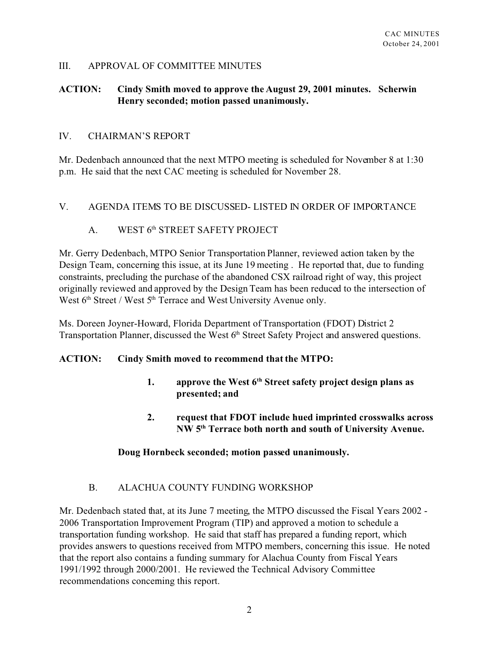### III. APPROVAL OF COMMITTEE MINUTES

## **ACTION: Cindy Smith moved to approve the August 29, 2001 minutes. Scherwin Henry seconded; motion passed unanimously.**

#### IV. CHAIRMAN'S REPORT

Mr. Dedenbach announced that the next MTPO meeting is scheduled for November 8 at 1:30 p.m. He said that the next CAC meeting is scheduled for November 28.

### V. AGENDA ITEMS TO BE DISCUSSED- LISTED IN ORDER OF IMPORTANCE

### A. WEST 6th STREET SAFETY PROJECT

Mr. Gerry Dedenbach, MTPO Senior Transportation Planner, reviewed action taken by the Design Team, concerning this issue, at its June 19 meeting . He reported that, due to funding constraints, precluding the purchase of the abandoned CSX railroad right of way, this project originally reviewed and approved by the Design Team has been reduced to the intersection of West 6<sup>th</sup> Street / West 5<sup>th</sup> Terrace and West University Avenue only.

Ms. Doreen Joyner-Howard, Florida Department of Transportation (FDOT) District 2 Transportation Planner, discussed the West 6<sup>th</sup> Street Safety Project and answered questions.

### **ACTION: Cindy Smith moved to recommend that the MTPO:**

- **1. approve the West 6th Street safety project design plans as presented; and**
- **2. request that FDOT include hued imprinted crosswalks across NW 5th Terrace both north and south of University Avenue.**

### **Doug Hornbeck seconded; motion passed unanimously.**

### B. ALACHUA COUNTY FUNDING WORKSHOP

Mr. Dedenbach stated that, at its June 7 meeting, the MTPO discussed the Fiscal Years 2002 - 2006 Transportation Improvement Program (TIP) and approved a motion to schedule a transportation funding workshop. He said that staff has prepared a funding report, which provides answers to questions received from MTPO members, concerning this issue. He noted that the report also contains a funding summary for Alachua County from Fiscal Years 1991/1992 through 2000/2001. He reviewed the Technical Advisory Committee recommendations concerning this report.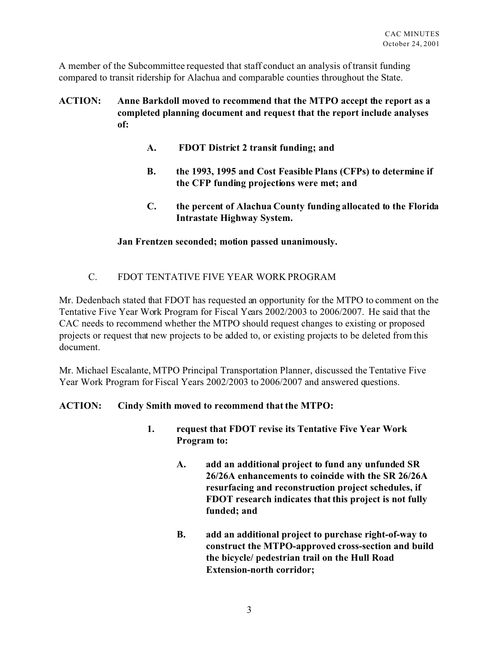A member of the Subcommittee requested that staff conduct an analysis of transit funding compared to transit ridership for Alachua and comparable counties throughout the State.

# **ACTION: Anne Barkdoll moved to recommend that the MTPO accept the report as a completed planning document and request that the report include analyses of:**

- **A. FDOT District 2 transit funding; and**
- **B. the 1993, 1995 and Cost Feasible Plans (CFPs) to determine if the CFP funding projections were met; and**
- **C. the percent of Alachua County funding allocated to the Florida Intrastate Highway System.**

### **Jan Frentzen seconded; motion passed unanimously.**

# C. FDOT TENTATIVE FIVE YEAR WORK PROGRAM

Mr. Dedenbach stated that FDOT has requested an opportunity for the MTPO to comment on the Tentative Five Year Work Program for Fiscal Years 2002/2003 to 2006/2007. He said that the CAC needs to recommend whether the MTPO should request changes to existing or proposed projects or request that new projects to be added to, or existing projects to be deleted from this document.

Mr. Michael Escalante, MTPO Principal Transportation Planner, discussed the Tentative Five Year Work Program for Fiscal Years 2002/2003 to 2006/2007 and answered questions.

### **ACTION: Cindy Smith moved to recommend that the MTPO:**

- **1. request that FDOT revise its Tentative Five Year Work Program to:**
	- **A. add an additional project to fund any unfunded SR 26/26A enhancements to coincide with the SR 26/26A resurfacing and reconstruction project schedules, if FDOT research indicates that this project is not fully funded; and**
	- **B. add an additional project to purchase right-of-way to construct the MTPO-approved cross-section and build the bicycle/ pedestrian trail on the Hull Road Extension-north corridor;**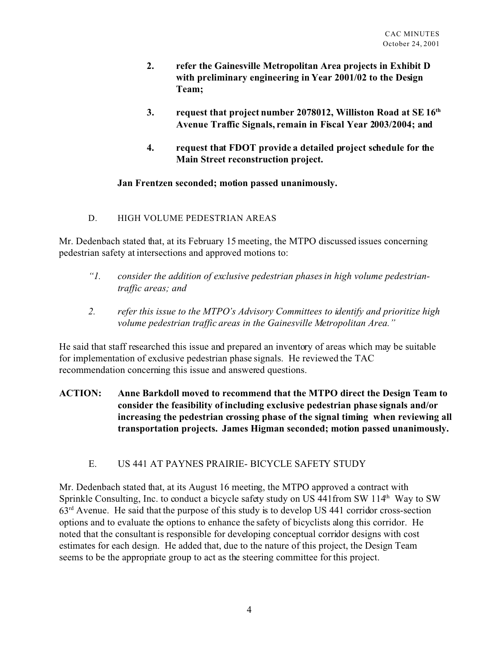- **2. refer the Gainesville Metropolitan Area projects in Exhibit D with preliminary engineering in Year 2001/02 to the Design Team;**
- **3. request that project number 2078012, Williston Road at SE 16th Avenue Traffic Signals, remain in Fiscal Year 2003/2004; and**
- **4. request that FDOT provide a detailed project schedule for the Main Street reconstruction project.**

### **Jan Frentzen seconded; motion passed unanimously.**

D. HIGH VOLUME PEDESTRIAN AREAS

Mr. Dedenbach stated that, at its February 15 meeting, the MTPO discussed issues concerning pedestrian safety at intersections and approved motions to:

- *"1. consider the addition of exclusive pedestrian phases in high volume pedestriantraffic areas; and*
- *2. refer this issue to the MTPO's Advisory Committees to identify and prioritize high volume pedestrian traffic areas in the Gainesville Metropolitan Area."*

He said that staff researched this issue and prepared an inventory of areas which may be suitable for implementation of exclusive pedestrian phase signals. He reviewed the TAC recommendation concerning this issue and answered questions.

**ACTION: Anne Barkdoll moved to recommend that the MTPO direct the Design Team to consider the feasibility of including exclusive pedestrian phase signals and/or increasing the pedestrian crossing phase of the signal timing when reviewing all transportation projects. James Higman seconded; motion passed unanimously.**

# E. US 441 AT PAYNES PRAIRIE- BICYCLE SAFETY STUDY

Mr. Dedenbach stated that, at its August 16 meeting, the MTPO approved a contract with Sprinkle Consulting, Inc. to conduct a bicycle safety study on US 441from SW 114<sup>th</sup> Way to SW 63rd Avenue. He said that the purpose of this study is to develop US 441 corridor cross-section options and to evaluate the options to enhance the safety of bicyclists along this corridor. He noted that the consultant is responsible for developing conceptual corridor designs with cost estimates for each design. He added that, due to the nature of this project, the Design Team seems to be the appropriate group to act as the steering committee for this project.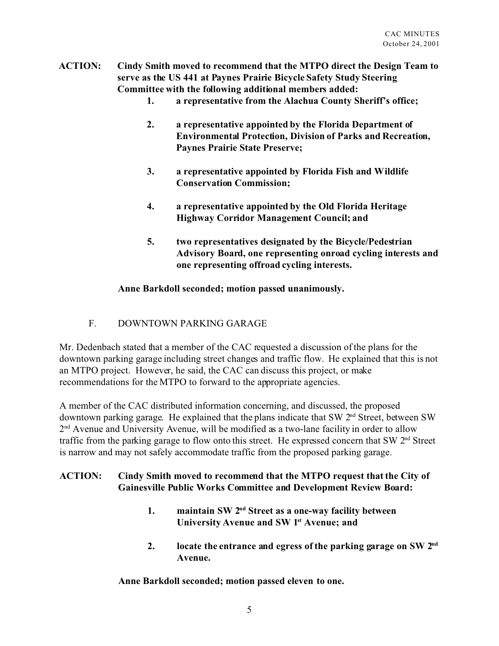- **ACTION: Cindy Smith moved to recommend that the MTPO direct the Design Team to serve as the US 441 at Paynes Prairie Bicycle Safety Study Steering Committee with the following additional members added:**
	- **1. a representative from the Alachua County Sheriff's office;**
	- **2. a representative appointed by the Florida Department of Environmental Protection, Division of Parks and Recreation, Paynes Prairie State Preserve;**
	- **3. a representative appointed by Florida Fish and Wildlife Conservation Commission;**
	- **4. a representative appointed by the Old Florida Heritage Highway Corridor Management Council; and**
	- **5. two representatives designated by the Bicycle/Pedestrian Advisory Board, one representing onroad cycling interests and one representing offroad cycling interests.**

### **Anne Barkdoll seconded; motion passed unanimously.**

F. DOWNTOWN PARKING GARAGE

Mr. Dedenbach stated that a member of the CAC requested a discussion of the plans for the downtown parking garage including street changes and traffic flow. He explained that this is not an MTPO project. However, he said, the CAC can discuss this project, or make recommendations for the MTPO to forward to the appropriate agencies.

A member of the CAC distributed information concerning, and discussed, the proposed downtown parking garage. He explained that the plans indicate that SW  $2<sup>nd</sup>$  Street, between SW 2<sup>nd</sup> Avenue and University Avenue, will be modified as a two-lane facility in order to allow traffic from the parking garage to flow onto this street. He expressed concern that SW 2<sup>nd</sup> Street is narrow and may not safely accommodate traffic from the proposed parking garage.

# **ACTION: Cindy Smith moved to recommend that the MTPO request that the City of Gainesville Public Works Committee and Development Review Board:**

- **1. maintain SW 2nd Street as a one-way facility between University Avenue and SW 1st Avenue; and**
- **2. locate the entrance and egress of the parking garage on SW 2nd Avenue.**

**Anne Barkdoll seconded; motion passed eleven to one.**